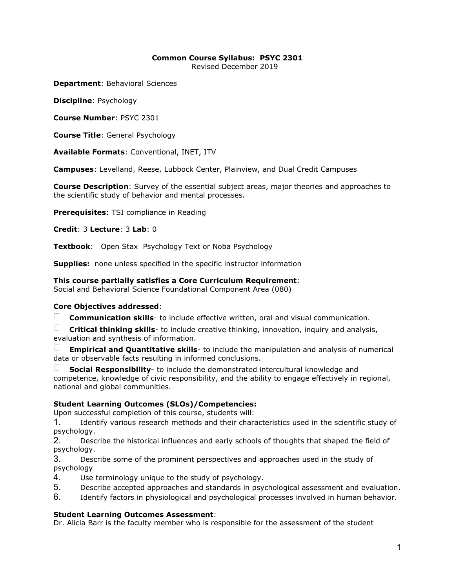# **Common Course Syllabus: PSYC 2301**

Revised December 2019

**Department**: Behavioral Sciences

**Discipline**: Psychology

**Course Number**: PSYC 2301

**Course Title**: General Psychology

**Available Formats**: Conventional, INET, ITV

**Campuses**: Levelland, Reese, Lubbock Center, Plainview, and Dual Credit Campuses

**Course Description**: Survey of the essential subject areas, major theories and approaches to the scientific study of behavior and mental processes.

**Prerequisites**: TSI compliance in Reading

**Credit**: 3 **Lecture**: 3 **Lab**: 0

**Textbook**: Open Stax Psychology Text or Noba Psychology

**Supplies:** none unless specified in the specific instructor information

**This course partially satisfies a Core Curriculum Requirement**:

Social and Behavioral Science Foundational Component Area (080)

# **Core Objectives addressed**:

 $\Box$ **Communication skills**- to include effective written, oral and visual communication.

 $\Box$ **Critical thinking skills**- to include creative thinking, innovation, inquiry and analysis, evaluation and synthesis of information.

**Empirical and Quantitative skills**- to include the manipulation and analysis of numerical data or observable facts resulting in informed conclusions.

**Social Responsibility**- to include the demonstrated intercultural knowledge and competence, knowledge of civic responsibility, and the ability to engage effectively in regional, national and global communities.

# **Student Learning Outcomes (SLOs)/Competencies:**

Upon successful completion of this course, students will:

1. Identify various research methods and their characteristics used in the scientific study of psychology.

2. Describe the historical influences and early schools of thoughts that shaped the field of psychology.

3. Describe some of the prominent perspectives and approaches used in the study of psychology

- 4. Use terminology unique to the study of psychology.
- 5. Describe accepted approaches and standards in psychological assessment and evaluation.

6. Identify factors in physiological and psychological processes involved in human behavior.

#### **Student Learning Outcomes Assessment**:

Dr. Alicia Barr is the faculty member who is responsible for the assessment of the student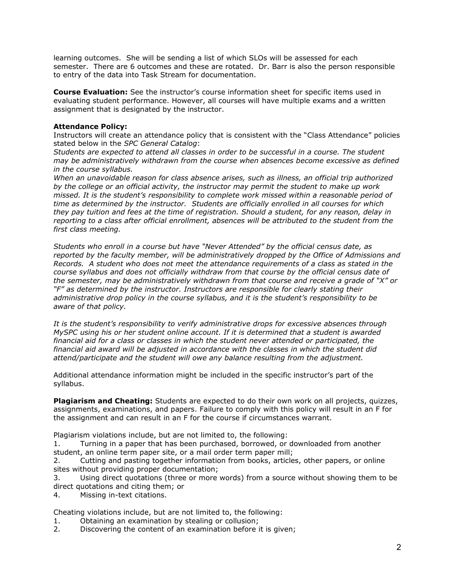learning outcomes. She will be sending a list of which SLOs will be assessed for each semester. There are 6 outcomes and these are rotated. Dr. Barr is also the person responsible to entry of the data into Task Stream for documentation.

**Course Evaluation:** See the instructor's course information sheet for specific items used in evaluating student performance. However, all courses will have multiple exams and a written assignment that is designated by the instructor.

## **Attendance Policy:**

Instructors will create an attendance policy that is consistent with the "Class Attendance" policies stated below in the *SPC General Catalog*:

*Students are expected to attend all classes in order to be successful in a course. The student may be administratively withdrawn from the course when absences become excessive as defined in the course syllabus.*

*When an unavoidable reason for class absence arises, such as illness, an official trip authorized by the college or an official activity, the instructor may permit the student to make up work missed. It is the student's responsibility to complete work missed within a reasonable period of time as determined by the instructor. Students are officially enrolled in all courses for which they pay tuition and fees at the time of registration. Should a student, for any reason, delay in reporting to a class after official enrollment, absences will be attributed to the student from the first class meeting.*

*Students who enroll in a course but have "Never Attended" by the official census date, as reported by the faculty member, will be administratively dropped by the Office of Admissions and Records. A student who does not meet the attendance requirements of a class as stated in the course syllabus and does not officially withdraw from that course by the official census date of the semester, may be administratively withdrawn from that course and receive a grade of "X" or "F" as determined by the instructor. Instructors are responsible for clearly stating their administrative drop policy in the course syllabus, and it is the student's responsibility to be aware of that policy.* 

*It is the student's responsibility to verify administrative drops for excessive absences through MySPC using his or her student online account. If it is determined that a student is awarded financial aid for a class or classes in which the student never attended or participated, the financial aid award will be adjusted in accordance with the classes in which the student did attend/participate and the student will owe any balance resulting from the adjustment.*

Additional attendance information might be included in the specific instructor's part of the syllabus.

**Plagiarism and Cheating:** Students are expected to do their own work on all projects, quizzes, assignments, examinations, and papers. Failure to comply with this policy will result in an F for the assignment and can result in an F for the course if circumstances warrant.

Plagiarism violations include, but are not limited to, the following:

1. Turning in a paper that has been purchased, borrowed, or downloaded from another student, an online term paper site, or a mail order term paper mill;

2. Cutting and pasting together information from books, articles, other papers, or online sites without providing proper documentation;

3. Using direct quotations (three or more words) from a source without showing them to be direct quotations and citing them; or

4. Missing in-text citations.

Cheating violations include, but are not limited to, the following:

- 1. Obtaining an examination by stealing or collusion;
- 2. Discovering the content of an examination before it is given;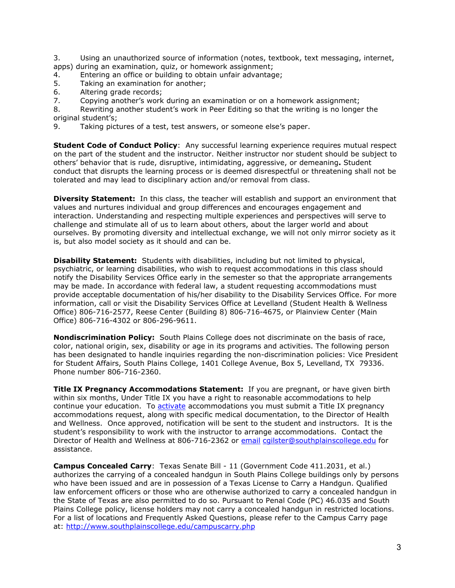3. Using an unauthorized source of information (notes, textbook, text messaging, internet, apps) during an examination, quiz, or homework assignment;

- 4. Entering an office or building to obtain unfair advantage;
- 5. Taking an examination for another;
- 6. Altering grade records;
- 7. Copying another's work during an examination or on a homework assignment;

8. Rewriting another student's work in Peer Editing so that the writing is no longer the original student's;

9. Taking pictures of a test, test answers, or someone else's paper.

**Student Code of Conduct Policy**: Any successful learning experience requires mutual respect on the part of the student and the instructor. Neither instructor nor student should be subject to others' behavior that is rude, disruptive, intimidating, aggressive, or demeaning**.** Student conduct that disrupts the learning process or is deemed disrespectful or threatening shall not be tolerated and may lead to disciplinary action and/or removal from class.

**Diversity Statement:** In this class, the teacher will establish and support an environment that values and nurtures individual and group differences and encourages engagement and interaction. Understanding and respecting multiple experiences and perspectives will serve to challenge and stimulate all of us to learn about others, about the larger world and about ourselves. By promoting diversity and intellectual exchange, we will not only mirror society as it is, but also model society as it should and can be.

**Disability Statement:** Students with disabilities, including but not limited to physical, psychiatric, or learning disabilities, who wish to request accommodations in this class should notify the Disability Services Office early in the semester so that the appropriate arrangements may be made. In accordance with federal law, a student requesting accommodations must provide acceptable documentation of his/her disability to the Disability Services Office. For more information, call or visit the Disability Services Office at Levelland (Student Health & Wellness Office) 806-716-2577, Reese Center (Building 8) 806-716-4675, or Plainview Center (Main Office) 806-716-4302 or 806-296-9611.

**Nondiscrimination Policy:** South Plains College does not discriminate on the basis of race, color, national origin, sex, disability or age in its programs and activities. The following person has been designated to handle inquiries regarding the non-discrimination policies: Vice President for Student Affairs, South Plains College, 1401 College Avenue, Box 5, Levelland, TX 79336. Phone number 806-716-2360.

**Title IX Pregnancy Accommodations Statement:** If you are pregnant, or have given birth within six months, Under Title IX you have a right to reasonable accommodations to help continue your education. To [activate](http://www.southplainscollege.edu/employees/manualshandbooks/facultyhandbook/sec4.php) accommodations you must submit a Title IX pregnancy accommodations request, along with specific medical documentation, to the Director of Health and Wellness. Once approved, notification will be sent to the student and instructors. It is the student's responsibility to work with the instructor to arrange accommodations. Contact the Director of Health and Wellness at 806-716-2362 or [email](http://www.southplainscollege.edu/employees/manualshandbooks/facultyhandbook/sec4.php) [cgilster@southplainscollege.edu](mailto:cgilster@southplainscollege.edu) for assistance.

**Campus Concealed Carry**: Texas Senate Bill - 11 (Government Code 411.2031, et al.) authorizes the carrying of a concealed handgun in South Plains College buildings only by persons who have been issued and are in possession of a Texas License to Carry a Handgun. Qualified law enforcement officers or those who are otherwise authorized to carry a concealed handgun in the State of Texas are also permitted to do so. Pursuant to Penal Code (PC) 46.035 and South Plains College policy, license holders may not carry a concealed handgun in restricted locations. For a list of locations and Frequently Asked Questions, please refer to the Campus Carry page at: <http://www.southplainscollege.edu/campuscarry.php>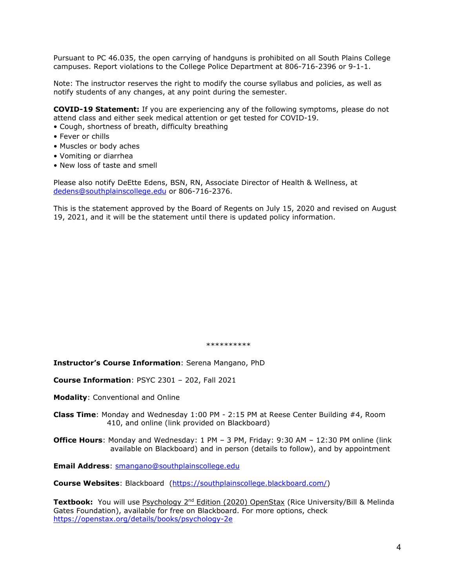Pursuant to PC 46.035, the open carrying of handguns is prohibited on all South Plains College campuses. Report violations to the College Police Department at 806-716-2396 or 9-1-1.

Note: The instructor reserves the right to modify the course syllabus and policies, as well as notify students of any changes, at any point during the semester.

**COVID-19 Statement:** If you are experiencing any of the following symptoms, please do not attend class and either seek medical attention or get tested for COVID-19.

- Cough, shortness of breath, difficulty breathing
- Fever or chills
- Muscles or body aches
- Vomiting or diarrhea
- New loss of taste and smell

Please also notify DeEtte Edens, BSN, RN, Associate Director of Health & Wellness, at [dedens@southplainscollege.edu](mailto:dedens@southplainscollege.edu) or 806-716-2376.

This is the statement approved by the Board of Regents on July 15, 2020 and revised on August 19, 2021, and it will be the statement until there is updated policy information.

\*\*\*\*\*\*\*\*\*\*

**Instructor's Course Information**: Serena Mangano, PhD

**Course Information**: PSYC 2301 – 202, Fall 2021

**Modality**: Conventional and Online

**Class Time**: Monday and Wednesday 1:00 PM - 2:15 PM at Reese Center Building #4, Room 410, and online (link provided on Blackboard)

**Office Hours**: Monday and Wednesday: 1 PM – 3 PM, Friday: 9:30 AM – 12:30 PM online (link available on Blackboard) and in person (details to follow), and by appointment

**Email Address**: [smangano@southplainscollege.edu](mailto:smangano@southplainscollege.edu)

**Course Websites**: Blackboard [\(https://southplainscollege.blackboard.com/\)](https://southplainscollege.blackboard.com/)

Textbook: You will use Psychology 2<sup>nd</sup> Edition (2020) OpenStax (Rice University/Bill & Melinda Gates Foundation), available for free on Blackboard. For more options, check <https://openstax.org/details/books/psychology-2e>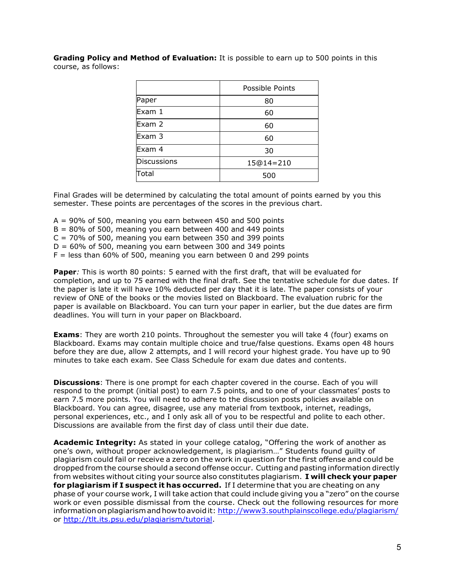**Grading Policy and Method of Evaluation:** It is possible to earn up to 500 points in this course, as follows:

|                    | Possible Points |
|--------------------|-----------------|
| Paper              | 80              |
| Exam 1             | 60              |
| Exam 2             | 60              |
| Exam 3             | 60              |
| Exam 4             | 30              |
| <b>Discussions</b> | 15@14=210       |
| Total              | 500             |

Final Grades will be determined by calculating the total amount of points earned by you this semester. These points are percentages of the scores in the previous chart.

- $A = 90\%$  of 500, meaning you earn between 450 and 500 points
- $B = 80\%$  of 500, meaning you earn between 400 and 449 points
- $C = 70\%$  of 500, meaning you earn between 350 and 399 points
- $D = 60\%$  of 500, meaning you earn between 300 and 349 points
- $F =$  less than 60% of 500, meaning you earn between 0 and 299 points

**Paper***:* This is worth 80 points: 5 earned with the first draft, that will be evaluated for completion, and up to 75 earned with the final draft. See the tentative schedule for due dates. If the paper is late it will have 10% deducted per day that it is late. The paper consists of your review of ONE of the books or the movies listed on Blackboard. The evaluation rubric for the paper is available on Blackboard. You can turn your paper in earlier, but the due dates are firm deadlines. You will turn in your paper on Blackboard.

**Exams**: They are worth 210 points. Throughout the semester you will take 4 (four) exams on Blackboard. Exams may contain multiple choice and true/false questions. Exams open 48 hours before they are due, allow 2 attempts, and I will record your highest grade. You have up to 90 minutes to take each exam. See Class Schedule for exam due dates and contents.

**Discussions**: There is one prompt for each chapter covered in the course. Each of you will respond to the prompt (initial post) to earn 7.5 points, and to one of your classmates' posts to earn 7.5 more points. You will need to adhere to the discussion posts policies available on Blackboard. You can agree, disagree, use any material from textbook, internet, readings, personal experiences, etc., and I only ask all of you to be respectful and polite to each other. Discussions are available from the first day of class until their due date.

**Academic Integrity:** As stated in your college catalog, "Offering the work of another as one's own, without proper acknowledgement, is plagiarism…" Students found guilty of plagiarism could fail or receive a zero on the work in question for the first offense and could be dropped from the course should a second offense occur. Cutting and pasting information directly from websites without citing your source also constitutes plagiarism. **I will check your paper for plagiarism if I suspect it has occurred.** If I determine that you are cheating on any phase of your course work, I will take action that could include giving you a "zero" on the course work or even possible dismissal from the course. Check out the following resources for more informationonplagiarismandhow toavoidit: <http://www3.southplainscollege.edu/plagiarism/> or [http://tlt.its.psu.edu/plagiarism/tutorial.](http://tlt.its.psu.edu/plagiarism/tutorial)